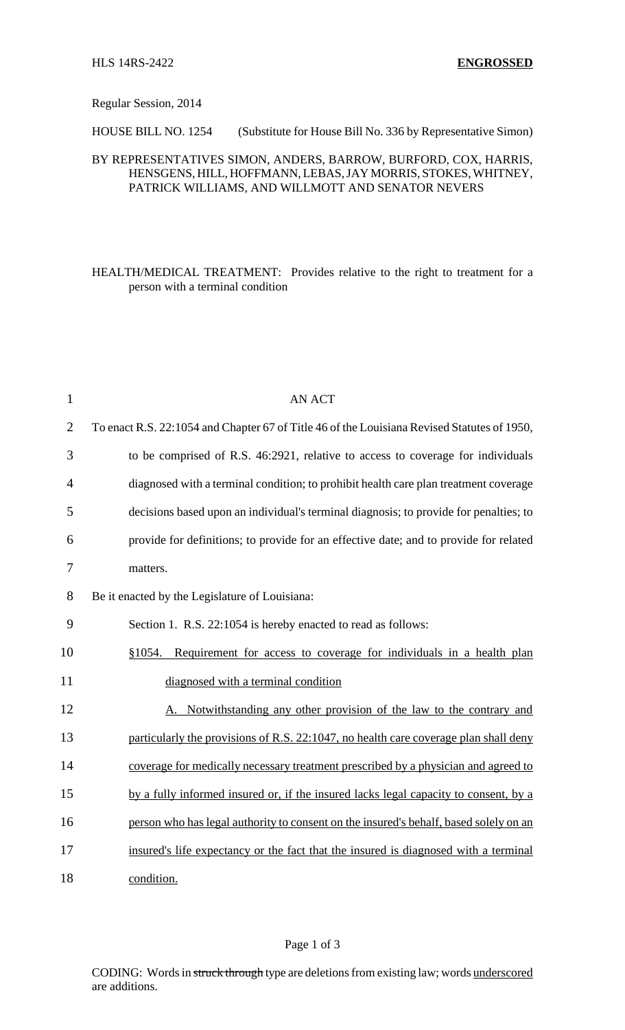Regular Session, 2014

HOUSE BILL NO. 1254 (Substitute for House Bill No. 336 by Representative Simon)

## BY REPRESENTATIVES SIMON, ANDERS, BARROW, BURFORD, COX, HARRIS, HENSGENS, HILL, HOFFMANN, LEBAS, JAY MORRIS, STOKES, WHITNEY, PATRICK WILLIAMS, AND WILLMOTT AND SENATOR NEVERS

HEALTH/MEDICAL TREATMENT: Provides relative to the right to treatment for a person with a terminal condition

| $\mathbf{1}$   | <b>AN ACT</b>                                                                               |
|----------------|---------------------------------------------------------------------------------------------|
| $\overline{2}$ | To enact R.S. 22:1054 and Chapter 67 of Title 46 of the Louisiana Revised Statutes of 1950, |
| 3              | to be comprised of R.S. 46:2921, relative to access to coverage for individuals             |
| $\overline{4}$ | diagnosed with a terminal condition; to prohibit health care plan treatment coverage        |
| 5              | decisions based upon an individual's terminal diagnosis; to provide for penalties; to       |
| 6              | provide for definitions; to provide for an effective date; and to provide for related       |
| 7              | matters.                                                                                    |
| 8              | Be it enacted by the Legislature of Louisiana:                                              |
| 9              | Section 1. R.S. 22:1054 is hereby enacted to read as follows:                               |
| 10             | Requirement for access to coverage for individuals in a health plan<br>\$1054.              |
| 11             | diagnosed with a terminal condition                                                         |
| 12             | A. Notwithstanding any other provision of the law to the contrary and                       |
| 13             | particularly the provisions of R.S. 22:1047, no health care coverage plan shall deny        |
| 14             | coverage for medically necessary treatment prescribed by a physician and agreed to          |
| 15             | by a fully informed insured or, if the insured lacks legal capacity to consent, by a        |
| 16             | person who has legal authority to consent on the insured's behalf, based solely on an       |
| 17             | insured's life expectancy or the fact that the insured is diagnosed with a terminal         |
| 18             | condition.                                                                                  |

CODING: Words in struck through type are deletions from existing law; words underscored are additions.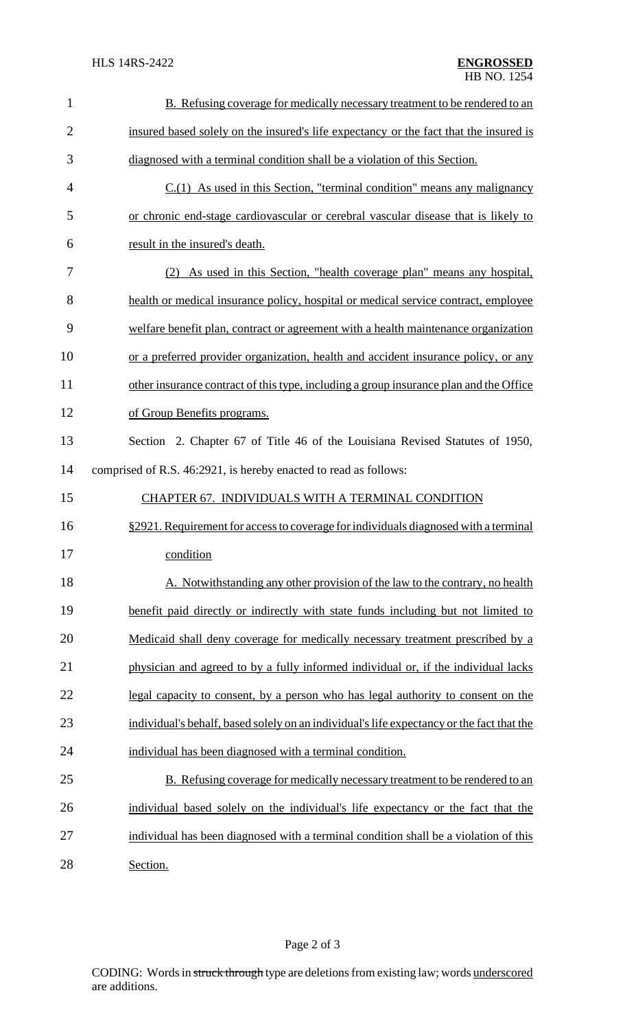| $\mathbf{1}$   | B. Refusing coverage for medically necessary treatment to be rendered to an               |
|----------------|-------------------------------------------------------------------------------------------|
| $\overline{2}$ | insured based solely on the insured's life expectancy or the fact that the insured is     |
| 3              | diagnosed with a terminal condition shall be a violation of this Section.                 |
| $\overline{4}$ | $C(1)$ As used in this Section, "terminal condition" means any malignancy                 |
| 5              | or chronic end-stage cardiovascular or cerebral vascular disease that is likely to        |
| 6              | result in the insured's death.                                                            |
| 7              | (2) As used in this Section, "health coverage plan" means any hospital,                   |
| 8              | health or medical insurance policy, hospital or medical service contract, employee        |
| 9              | welfare benefit plan, contract or agreement with a health maintenance organization        |
| 10             | or a preferred provider organization, health and accident insurance policy, or any        |
| 11             | other insurance contract of this type, including a group insurance plan and the Office    |
| 12             | of Group Benefits programs.                                                               |
| 13             | Section 2. Chapter 67 of Title 46 of the Louisiana Revised Statutes of 1950,              |
| 14             | comprised of R.S. 46:2921, is hereby enacted to read as follows:                          |
|                |                                                                                           |
| 15             | CHAPTER 67. INDIVIDUALS WITH A TERMINAL CONDITION                                         |
| 16             | §2921. Requirement for access to coverage for individuals diagnosed with a terminal       |
| 17             | condition                                                                                 |
| 18             | A. Notwithstanding any other provision of the law to the contrary, no health              |
| 19             | benefit paid directly or indirectly with state funds including but not limited to         |
| 20             | Medicaid shall deny coverage for medically necessary treatment prescribed by a            |
| 21             | physician and agreed to by a fully informed individual or, if the individual lacks        |
| 22             | legal capacity to consent, by a person who has legal authority to consent on the          |
| 23             | individual's behalf, based solely on an individual's life expectancy or the fact that the |
| 24             | individual has been diagnosed with a terminal condition.                                  |
| 25             | B. Refusing coverage for medically necessary treatment to be rendered to an               |
| 26             | individual based solely on the individual's life expectancy or the fact that the          |
| 27             | individual has been diagnosed with a terminal condition shall be a violation of this      |